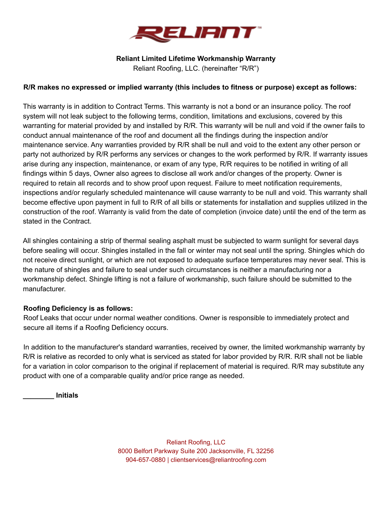

## **Reliant Limited Lifetime Workmanship Warranty**

Reliant Roofing, LLC. (hereinafter "R/R")

# **R/R makes no expressed or implied warranty (this includes to fitness or purpose) except as follows:**

This warranty is in addition to Contract Terms. This warranty is not a bond or an insurance policy. The roof system will not leak subject to the following terms, condition, limitations and exclusions, covered by this warranting for material provided by and installed by R/R. This warranty will be null and void if the owner fails to conduct annual maintenance of the roof and document all the findings during the inspection and/or maintenance service. Any warranties provided by R/R shall be null and void to the extent any other person or party not authorized by R/R performs any services or changes to the work performed by R/R. If warranty issues arise during any inspection, maintenance, or exam of any type, R/R requires to be notified in writing of all findings within 5 days, Owner also agrees to disclose all work and/or changes of the property. Owner is required to retain all records and to show proof upon request. Failure to meet notification requirements, inspections and/or regularly scheduled maintenance will cause warranty to be null and void. This warranty shall become effective upon payment in full to R/R of all bills or statements for installation and supplies utilized in the construction of the roof. Warranty is valid from the date of completion (invoice date) until the end of the term as stated in the Contract.

All shingles containing a strip of thermal sealing asphalt must be subjected to warm sunlight for several days before sealing will occur. Shingles installed in the fall or winter may not seal until the spring. Shingles which do not receive direct sunlight, or which are not exposed to adequate surface temperatures may never seal. This is the nature of shingles and failure to seal under such circumstances is neither a manufacturing nor a workmanship defect. Shingle lifting is not a failure of workmanship, such failure should be submitted to the manufacturer.

# **Roofing Deficiency is as follows:**

Roof Leaks that occur under normal weather conditions. Owner is responsible to immediately protect and secure all items if a Roofing Deficiency occurs.

In addition to the manufacturer's standard warranties, received by owner, the limited workmanship warranty by R/R is relative as recorded to only what is serviced as stated for labor provided by R/R. R/R shall not be liable for a variation in color comparison to the original if replacement of material is required. R/R may substitute any product with one of a comparable quality and/or price range as needed.

**\_\_\_\_\_\_\_\_ Initials**

Reliant Roofing, LLC 8000 Belfort Parkway Suite 200 Jacksonville, FL 32256 904-657-0880 | clientservices@reliantroofing.com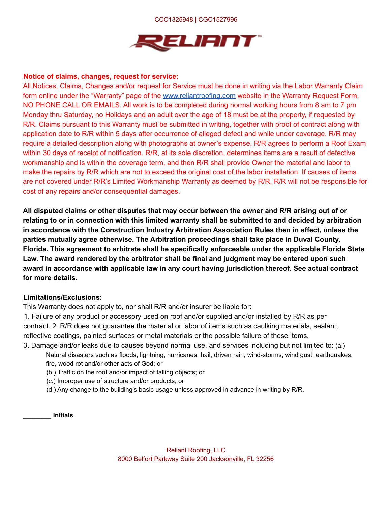### CCC1325948 | CGC1527996



### **Notice of claims, changes, request for service:**

All Notices, Claims, Changes and/or request for Service must be done in writing via the Labor Warranty Claim form online under the "Warranty" page of the www.reliantroofing.com website in the Warranty Request Form. NO PHONE CALL OR EMAILS. All work is to be completed during normal working hours from 8 am to 7 pm Monday thru Saturday, no Holidays and an adult over the age of 18 must be at the property, if requested by R/R. Claims pursuant to this Warranty must be submitted in writing, together with proof of contract along with application date to R/R within 5 days after occurrence of alleged defect and while under coverage, R/R may require a detailed description along with photographs at owner's expense. R/R agrees to perform a Roof Exam within 30 days of receipt of notification. R/R, at its sole discretion, determines items are a result of defective workmanship and is within the coverage term, and then R/R shall provide Owner the material and labor to make the repairs by R/R which are not to exceed the original cost of the labor installation. If causes of items are not covered under R/R's Limited Workmanship Warranty as deemed by R/R, R/R will not be responsible for cost of any repairs and/or consequential damages.

**All disputed claims or other disputes that may occur between the owner and R/R arising out of or relating to or in connection with this limited warranty shall be submitted to and decided by arbitration in accordance with the Construction Industry Arbitration Association Rules then in effect, unless the parties mutually agree otherwise. The Arbitration proceedings shall take place in Duval County, Florida. This agreement to arbitrate shall be specifically enforceable under the applicable Florida State Law. The award rendered by the arbitrator shall be final and judgment may be entered upon such award in accordance with applicable law in any court having jurisdiction thereof. See actual contract for more details.**

### **Limitations/Exclusions:**

This Warranty does not apply to, nor shall R/R and/or insurer be liable for:

1. Failure of any product or accessory used on roof and/or supplied and/or installed by R/R as per contract. 2. R/R does not guarantee the material or labor of items such as caulking materials, sealant, reflective coatings, painted surfaces or metal materials or the possible failure of these items.

- 3. Damage and/or leaks due to causes beyond normal use, and services including but not limited to: (a.) Natural disasters such as floods, lightning, hurricanes, hail, driven rain, wind-storms, wind gust, earthquakes, fire, wood rot and/or other acts of God; or
	- (b.) Traffic on the roof and/or impact of falling objects; or
	- (c.) Improper use of structure and/or products; or
	- (d.) Any change to the building's basic usage unless approved in advance in writing by R/R.

**\_\_\_\_\_\_\_\_ Initials**